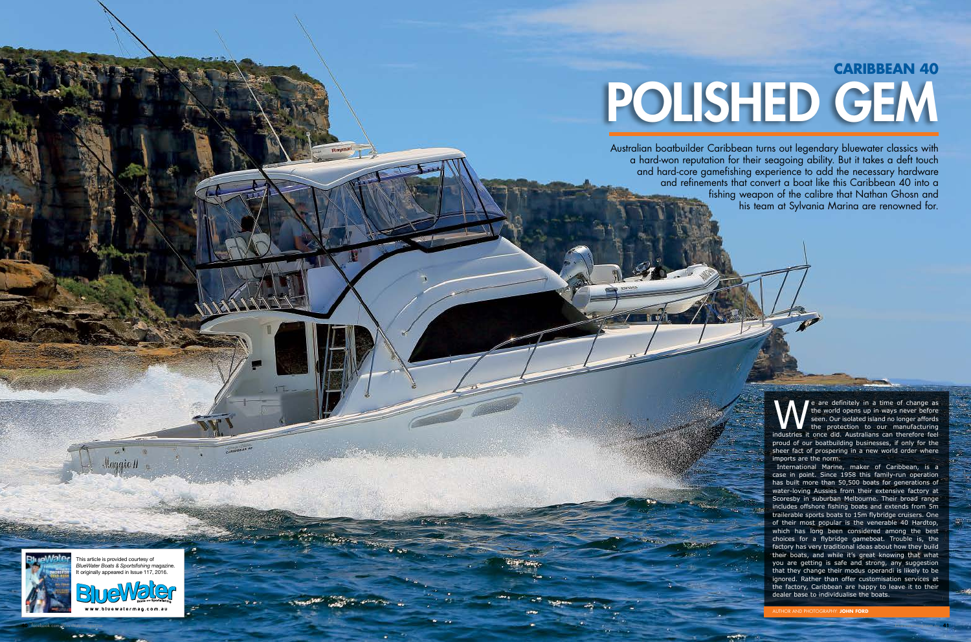We are definitely in a time of change as the world opens up in ways never before seen. Our isolated island no longer affords the protection to our manufacturing industries it once did. Australians can therefore feel the world opens up in ways never before seen. Our isolated island no longer affords the protection to our manufacturing proud of our boatbuilding businesses, if only for the sheer fact of prospering in a new world order where imports are the norm.

# POLISHED GEM **CARIBBEAN 40**

Australian boatbuilder Caribbean turns out legendary bluewater classics with a hard-won reputation for their seagoing ability. But it takes a deft touch and hard-core gamefishing experience to add the necessary hardware and refinements that convert a boat like this Caribbean 40 into a fishing weapon of the calibre that Nathan Ghosn and his team at Sylvania Marina are renowned for.

> International Marine, maker of Caribbean, is a case in point. Since 1958 this family-run operation has built more than 50,500 boats for generations of water-loving Aussies from their extensive factory at Scoresby in suburban Melbourne. Their broad range includes offshore fishing boats and extends from 5m trailerable sports boats to 15m flybridge cruisers. One of their most popular is the venerable 40 Hardtop, which has long been considered among the best choices for a flybridge gameboat. Trouble is, the factory has very traditional ideas about how they build their boats, and while it's great knowing that what you are getting is safe and strong, any suggestion that they change their modus operandi is likely to be ignored. Rather than offer customisation services at the factory, Caribbean are happy to leave it to their dealer base to individualise the boats.

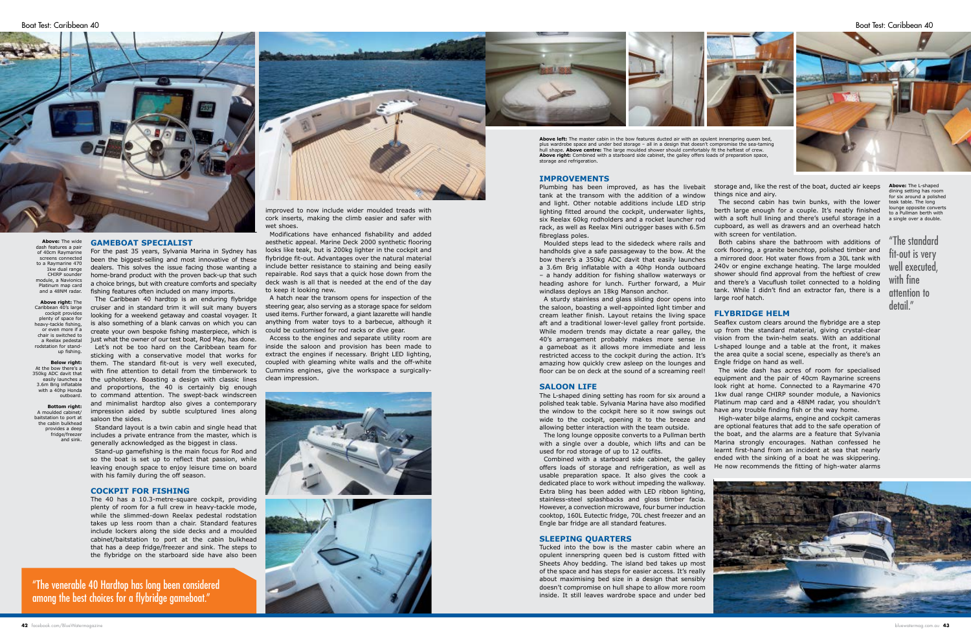# **GAMEBOAT SPECIALIST**

For the past 35 years, Sylvania Marina in Sydney has been the biggest-selling and most innovative of these dealers. This solves the issue facing those wanting a home-brand product with the proven back-up that such a choice brings, but with creature comforts and specialty fishing features often included on many imports.

The Caribbean 40 hardtop is an enduring flybridge cruiser and in standard trim it will suit many buyers looking for a weekend getaway and coastal voyager. It is also something of a blank canvas on which you can create your own bespoke fishing masterpiece, which is just what the owner of our test boat, Rod May, has done. Let's not be too hard on the Caribbean team for sticking with a conservative model that works for them. The standard fit-out is very well executed, with fine attention to detail from the timberwork to the upholstery. Boasting a design with classic lines and proportions, the 40 is certainly big enough to command attention. The swept-back windscreen and minimalist hardtop also gives a contemporary impression aided by subtle sculptured lines along saloon the sides.

Plumbing has been improved, as has the livebait tank at the transom with the addition of a window and light. Other notable additions include LED strip lighting fitted around the cockpit, underwater lights, six Reelax 60kg rodholders and a rocket launcher rod rack, as well as Reelax Mini outrigger bases with 6.5m fibreglass poles. storage and, like the rest of the boat, ducted air keeps things nice and airy. The second cabin has twin bunks, with the lower berth large enough for a couple. It's neatly finished with a soft hull lining and there's useful storage in a cupboard, as well as drawers and an overhead hatch with screen for ventilation.

Standard layout is a twin cabin and single head that includes a private entrance from the master, which is generally acknowledged as the biggest in class.

Stand-up gamefishing is the main focus for Rod and so the boat is set up to reflect that passion, while leaving enough space to enjoy leisure time on board with his family during the off season.

# **COCKPIT FOR FISHING**

The 40 has a 10.3-metre-square cockpit, providing plenty of room for a full crew in heavy-tackle mode, while the slimmed-down Reelax pedestal rodstation takes up less room than a chair. Standard features include lockers along the side decks and a moulded cabinet/baitstation to port at the cabin bulkhead that has a deep fridge/freezer and sink. The steps to the flybridge on the starboard side have also been

Moulded steps lead to the sidedeck where rails and heading ashore for lunch. Further forward, a Muir windlass deploys an 18kg Manson anchor.

#### **SALOON LIFE**

handholds give a safe passageway to the bow. At the cork flooring, a granite benchtop, polished timber and bow there's a 350kg ADC davit that easily launches a mirrored door. Hot water flows from a 30L tank with a 3.6m Brig inflatable with a 40hp Honda outboard 240v or engine exchange heating. The large moulded – a handy addition for fishing shallow waterways or shower should find approval from the heftiest of crew Both cabins share the bathroom with additions of and there's a Vacuflush toilet connected to a holding tank. While I didn't find an extractor fan, there is a large roof hatch.

The L-shaped dining setting has room for six around a polished teak table. Sylvania Marina have also modified the window to the cockpit here so it now swings out wide to the cockpit, opening it to the breeze and allowing better interaction with the team outside. The long lounge opposite converts to a Pullman berth

with a single over a double, which lifts and can be used for rod storage of up to 12 outfits.

Combined with a starboard side cabinet, the galley offers loads of storage and refrigeration, as well as usable preparation space. It also gives the cook a dedicated place to work without impeding the walkway. Extra bling has been added with LED ribbon lighting, stainless-steel splashbacks and gloss timber facia. However, a convection microwave, four burner induction cooktop, 160L Eutectic fridge, 70L chest freezer and an Engle bar fridge are all standard features.

# **SLEEPING QUARTERS**

Tucked into the bow is the master cabin where an opulent innerspring queen bed is custom fitted with Sheets Ahoy bedding. The island bed takes up most of the space and has steps for easier access. It's really about maximising bed size in a design that sensibly doesn't compromise on hull shape to allow more room inside. It still leaves wardrobe space and under bed

improved to now include wider moulded treads with cork inserts, making the climb easier and safer with wet shoes.

> A sturdy stainless and glass sliding door opens into the saloon, boasting a well-appointed light timber and cream leather finish. Layout retains the living space aft and a traditional lower-level galley front portside. While modern trends may dictate a rear galley, the 40's arrangement probably makes more sense in a gameboat as it allows more immediate and less restricted access to the cockpit during the action. It's amazing how quickly crew asleep on the lounges and floor can be on deck at the sound of a screaming reel! **FLYBRIDGE HELM** Seaflex custom clears around the flybridge are a step up from the standard material, giving crystal-clear vision from the twin-helm seats. With an additional L-shaped lounge and a table at the front, it makes the area quite a social scene, especially as there's an Engle fridge on hand as well. The wide dash has acres of room for specialised

Modifications have enhanced fishability and added aesthetic appeal. Marine Deck 2000 synthetic flooring looks like teak, but is 200kg lighter in the cockpit and flybridge fit-out. Advantages over the natural material include better resistance to staining and being easily repairable. Rod says that a quick hose down from the deck wash is all that is needed at the end of the day to keep it looking new.

A hatch near the transom opens for inspection of the steering gear, also serving as a storage space for seldom used items. Further forward, a giant lazarette will handle anything from water toys to a barbecue, although it could be customised for rod racks or dive gear.



Access to the engines and separate utility room are inside the saloon and provision has been made to extract the engines if necessary. Bright LED lighting, coupled with gleaming white walls and the off-white Cummins engines, give the workspace a surgicallyclean impression.





"The venerable 40 Hardtop has long been considered among the best choices for a flybridge gameboat."

equipment and the pair of 40cm Raymarine screens look right at home. Connected to a Raymarine 470 1kw dual range CHIRP sounder module, a Navionics Platinum map card and a 48NM radar, you shouldn't have any trouble finding fish or the way home.

High-water bilge alarms, engine and cockpit cameras are optional features that add to the safe operation of the boat, and the alarms are a feature that Sylvania Marina strongly encourages. Nathan confessed he learnt first-hand from an incident at sea that nearly ended with the sinking of a boat he was skippering. He now recommends the fitting of high-water alarms



**Above:** The wide dash features a pair of 40cm Raymarine screens connected to a Raymarine 470 1kw dual range CHIRP sounder module, a Navionics Platinum map card and a 48NM radar.

**Above right:** The Caribbean 40's large cockpit provides plenty of space for heavy-tackle fishing, or even more if a chair is switched to a Reelax pedestal rodstation for standup fishing.

**Below right:**  At the bow there's a 350kg ADC davit that easily launches a 3.6m Brig inflatable with a 40hp Honda outboard.

**Bottom right:**  A moulded cabinet/ baitstation to port at the cabin bulkhead provides a deep fridge/freezer and sink.

"The standard fit-out is very well executed, with fine attention to detail."



plus wardrobe space and under bed storage – all in a design that doesn't compromise the sea-taming hull shape. **Above centre:** The large moulded shower should comfortably fit the heftiest of crew. **Above right:** Combined with a starboard side cabinet, the galley offers loads of preparation space,

> **Above:** The L-shaped dining setting has room for six around a polished teak table. The long lounge opposite converts to a Pullman berth with a single over a double.

Boat Test: Caribbean 40 Boat Test: Caribbean 40